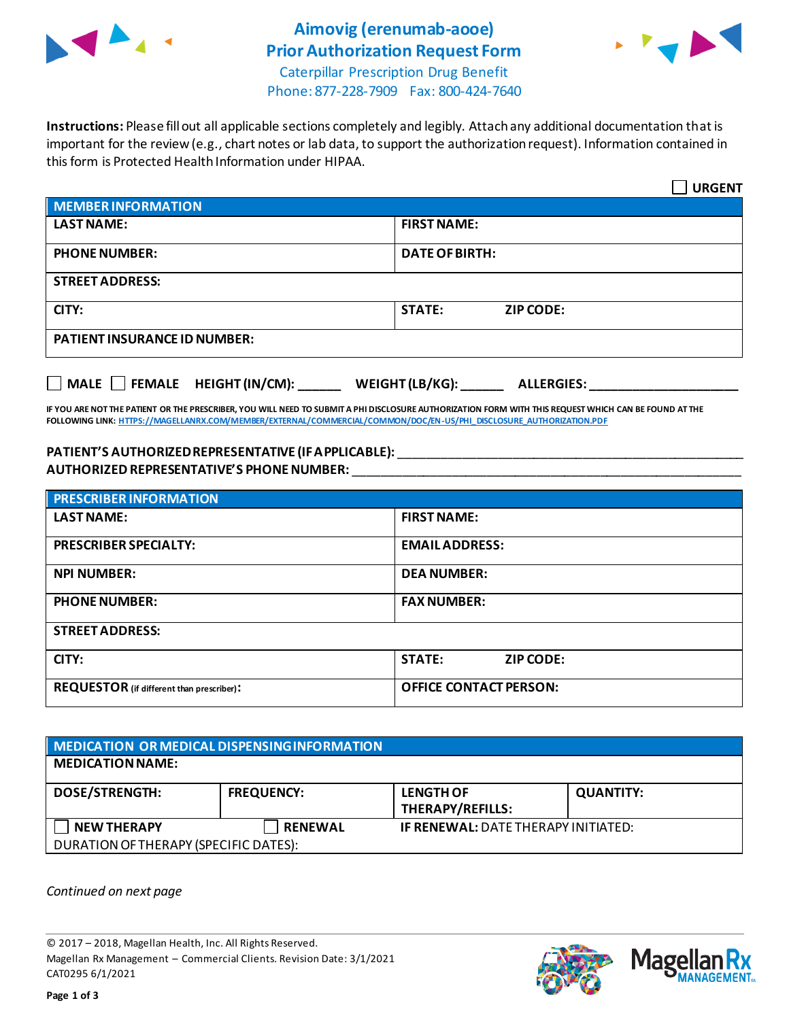

# **Aimovig (erenumab-aooe) Prior Authorization Request Form**



Caterpillar Prescription Drug Benefit Phone: 877-228-7909 Fax: 800-424-7640

**Instructions:** Please fill out all applicable sections completely and legibly. Attach any additional documentation that is important for the review (e.g., chart notes or lab data, to support the authorization request). Information contained in this form is Protected Health Information under HIPAA.

|                                                                                   | <b>URGENT</b>                     |  |  |  |
|-----------------------------------------------------------------------------------|-----------------------------------|--|--|--|
| <b>MEMBER INFORMATION</b>                                                         |                                   |  |  |  |
| <b>LAST NAME:</b>                                                                 | <b>FIRST NAME:</b>                |  |  |  |
| <b>PHONE NUMBER:</b>                                                              | <b>DATE OF BIRTH:</b>             |  |  |  |
| <b>STREET ADDRESS:</b>                                                            |                                   |  |  |  |
| CITY:                                                                             | <b>STATE:</b><br><b>ZIP CODE:</b> |  |  |  |
| <b>PATIENT INSURANCE ID NUMBER:</b>                                               |                                   |  |  |  |
| $\Box$ MALE $\Box$ FEMALE HEIGHT (IN/CM):<br>WEIGHT (LB/KG):<br><b>ALLERGIES:</b> |                                   |  |  |  |

**IF YOU ARE NOT THE PATIENT OR THE PRESCRIBER, YOU WILL NEED TO SUBMIT A PHI DISCLOSURE AUTHORIZATION FORM WITH THIS REQUEST WHICH CAN BE FOUND AT THE FOLLOWING LINK[: HTTPS://MAGELLANRX.COM/MEMBER/EXTERNAL/COMMERCIAL/COMMON/DOC/EN-US/PHI\\_DISCLOSURE\\_AUTHORIZATION.PDF](https://magellanrx.com/member/external/commercial/common/doc/en-us/PHI_Disclosure_Authorization.pdf)**

#### **PATIENT'S AUTHORIZED REPRESENTATIVE (IF APPLICABLE):** \_\_\_\_\_\_\_\_\_\_\_\_\_\_\_\_\_\_\_\_\_\_\_\_\_\_\_\_\_\_\_\_\_\_\_\_\_\_\_\_\_\_\_\_\_\_\_\_\_ **AUTHORIZED REPRESENTATIVE'S PHONE NUMBER:** \_\_\_\_\_\_\_\_\_\_\_\_\_\_\_\_\_\_\_\_\_\_\_\_\_\_\_\_\_\_\_\_\_\_\_\_\_\_\_\_\_\_\_\_\_\_\_\_\_\_\_\_\_\_\_

| <b>PRESCRIBER INFORMATION</b>             |                               |  |
|-------------------------------------------|-------------------------------|--|
| <b>LAST NAME:</b>                         | <b>FIRST NAME:</b>            |  |
| <b>PRESCRIBER SPECIALTY:</b>              | <b>EMAIL ADDRESS:</b>         |  |
| <b>NPI NUMBER:</b>                        | <b>DEA NUMBER:</b>            |  |
| <b>PHONE NUMBER:</b>                      | <b>FAX NUMBER:</b>            |  |
| <b>STREET ADDRESS:</b>                    |                               |  |
| CITY:                                     | <b>STATE:</b><br>ZIP CODE:    |  |
| REQUESTOR (if different than prescriber): | <b>OFFICE CONTACT PERSON:</b> |  |

| MEDICATION OR MEDICAL DISPENSING INFORMATION |                   |                                             |                  |  |  |
|----------------------------------------------|-------------------|---------------------------------------------|------------------|--|--|
| <b>MEDICATION NAME:</b>                      |                   |                                             |                  |  |  |
| <b>DOSE/STRENGTH:</b>                        | <b>FREQUENCY:</b> | <b>LENGTH OF</b><br><b>THERAPY/REFILLS:</b> | <b>QUANTITY:</b> |  |  |
| <b>NEW THERAPY</b>                           | <b>RENEWAL</b>    | <b>IF RENEWAL: DATE THERAPY INITIATED:</b>  |                  |  |  |
| DURATION OF THERAPY (SPECIFIC DATES):        |                   |                                             |                  |  |  |

*Continued on next page*

© 2017 – 2018, Magellan Health, Inc. All Rights Reserved. Magellan Rx Management – Commercial Clients. Revision Date: 3/1/2021 CAT0295 6/1/2021



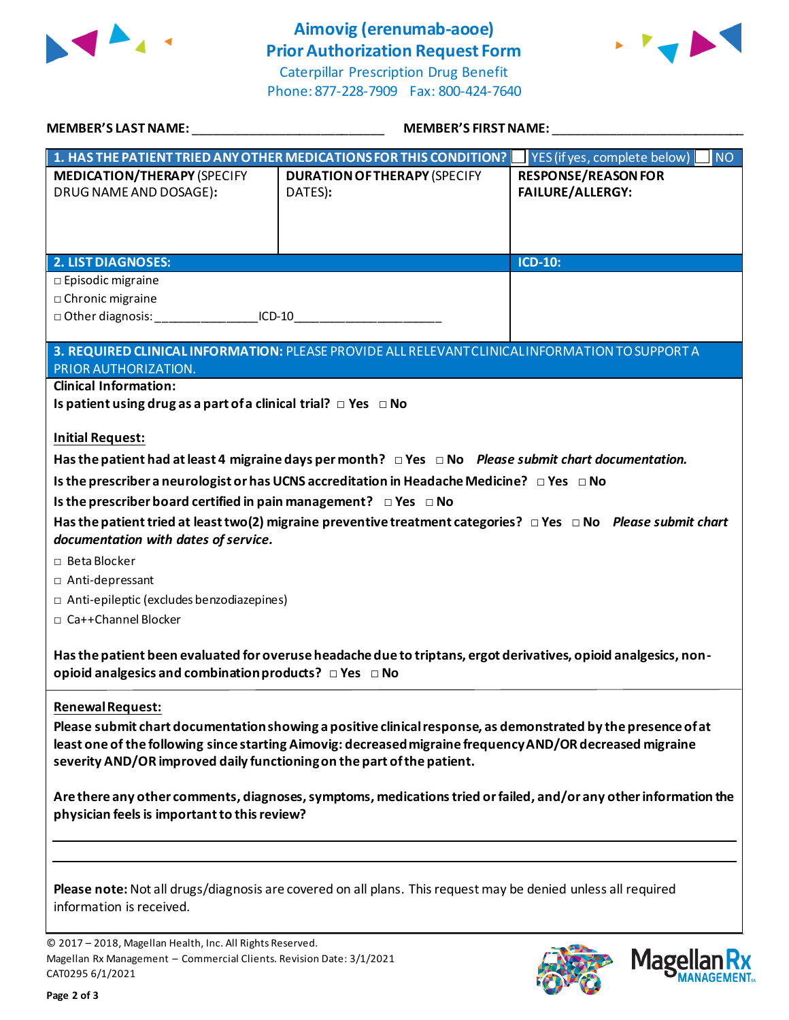

## **Aimovig (erenumab-aooe) Prior Authorization Request Form**

Caterpillar Prescription Drug Benefit Phone: 877-228-7909 Fax: 800-424-7640



| <b>MEMBER'S LAST NAME:</b>                                                                                                                                                                                                                                                                                               | <b>MEMBER'S FIRST NAME:</b>                                                                          |                                                       |  |  |
|--------------------------------------------------------------------------------------------------------------------------------------------------------------------------------------------------------------------------------------------------------------------------------------------------------------------------|------------------------------------------------------------------------------------------------------|-------------------------------------------------------|--|--|
|                                                                                                                                                                                                                                                                                                                          | 1. HAS THE PATIENT TRIED ANY OTHER MEDICATIONS FOR THIS CONDITION?                                   | YES (if yes, complete below)<br><b>NO</b>             |  |  |
| <b>MEDICATION/THERAPY (SPECIFY</b><br>DRUG NAME AND DOSAGE):                                                                                                                                                                                                                                                             | <b>DURATION OF THERAPY (SPECIFY</b><br>DATES):                                                       | <b>RESPONSE/REASON FOR</b><br><b>FAILURE/ALLERGY:</b> |  |  |
| <b>2. LIST DIAGNOSES:</b>                                                                                                                                                                                                                                                                                                |                                                                                                      | ICD-10:                                               |  |  |
| $\square$ Episodic migraine<br>□ Chronic migraine<br>□ Other diagnosis: ______________________ICD-10                                                                                                                                                                                                                     |                                                                                                      |                                                       |  |  |
|                                                                                                                                                                                                                                                                                                                          | 3. REQUIRED CLINICAL INFORMATION: PLEASE PROVIDE ALL RELEVANT CLINICAL INFORMATION TO SUPPORT A      |                                                       |  |  |
| PRIOR AUTHORIZATION.<br><b>Clinical Information:</b><br>Is patient using drug as a part of a clinical trial? $\Box$ Yes $\Box$ No                                                                                                                                                                                        |                                                                                                      |                                                       |  |  |
| <b>Initial Request:</b>                                                                                                                                                                                                                                                                                                  |                                                                                                      |                                                       |  |  |
| Has the patient had at least 4 migraine days per month? $\Box$ Yes $\Box$ No Please submit chart documentation.                                                                                                                                                                                                          |                                                                                                      |                                                       |  |  |
|                                                                                                                                                                                                                                                                                                                          | Is the prescriber a neurologist or has UCNS accreditation in Headache Medicine? $\Box$ Yes $\Box$ No |                                                       |  |  |
| Is the prescriber board certified in pain management? $\Box$ Yes $\Box$ No                                                                                                                                                                                                                                               |                                                                                                      |                                                       |  |  |
| Has the patient tried at least two(2) migraine preventive treatment categories? $\Box$ Yes $\Box$ No Please submit chart<br>documentation with dates of service.                                                                                                                                                         |                                                                                                      |                                                       |  |  |
| □ Beta Blocker                                                                                                                                                                                                                                                                                                           |                                                                                                      |                                                       |  |  |
| □ Anti-depressant                                                                                                                                                                                                                                                                                                        |                                                                                                      |                                                       |  |  |
| $\Box$ Anti-epileptic (excludes benzodiazepines)                                                                                                                                                                                                                                                                         |                                                                                                      |                                                       |  |  |
| □ Ca++Channel Blocker                                                                                                                                                                                                                                                                                                    |                                                                                                      |                                                       |  |  |
| Has the patient been evaluated for overuse headache due to triptans, ergot derivatives, opioid analgesics, non-<br>opioid analgesics and combination products? $\Box$ Yes $\Box$ No                                                                                                                                      |                                                                                                      |                                                       |  |  |
| Renewal Request:<br>Please submit chart documentation showing a positive clinical response, as demonstrated by the presence of at<br>least one of the following since starting Aimovig: decreased migraine frequency AND/OR decreased migraine<br>severity AND/OR improved daily functioning on the part of the patient. |                                                                                                      |                                                       |  |  |
| Are there any other comments, diagnoses, symptoms, medications tried or failed, and/or any other information the<br>physician feels is important to this review?                                                                                                                                                         |                                                                                                      |                                                       |  |  |
|                                                                                                                                                                                                                                                                                                                          |                                                                                                      |                                                       |  |  |
| Please note: Not all drugs/diagnosis are covered on all plans. This request may be denied unless all required<br>information is received.                                                                                                                                                                                |                                                                                                      |                                                       |  |  |

© 2017 – 2018, Magellan Health, Inc. All Rights Reserved. Magellan Rx Management – Commercial Clients. Revision Date: 3/1/2021 CAT0295 6/1/2021